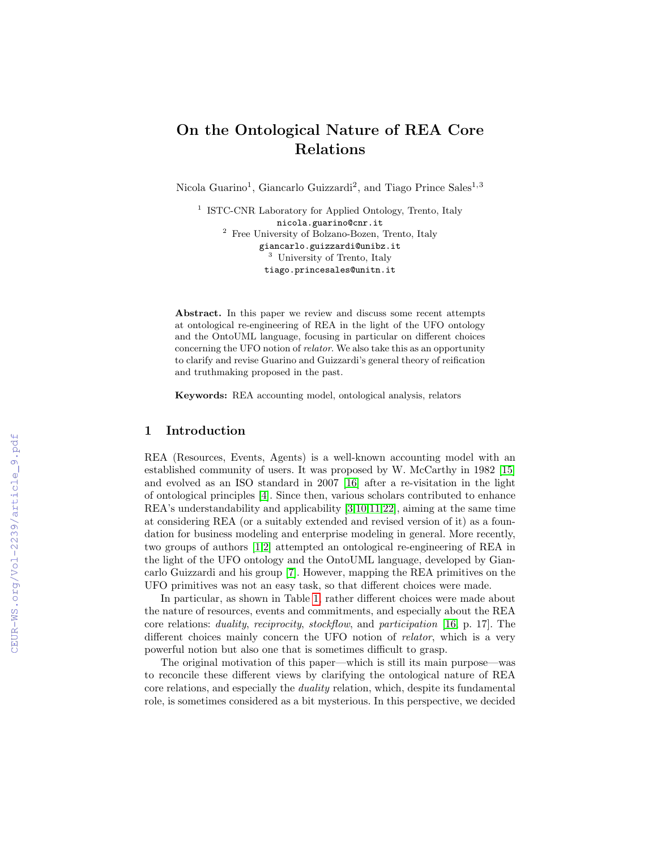# On the Ontological Nature of REA Core Relations

Nicola Guarino<sup>1</sup>, Giancarlo Guizzardi<sup>2</sup>, and Tiago Prince Sales<sup>1,3</sup>

<sup>1</sup> ISTC-CNR Laboratory for Applied Ontology, Trento, Italy nicola.guarino@cnr.it <sup>2</sup> Free University of Bolzano-Bozen, Trento, Italy giancarlo.guizzardi@unibz.it <sup>3</sup> University of Trento, Italy tiago.princesales@unitn.it

Abstract. In this paper we review and discuss some recent attempts at ontological re-engineering of REA in the light of the UFO ontology and the OntoUML language, focusing in particular on different choices concerning the UFO notion of relator. We also take this as an opportunity to clarify and revise Guarino and Guizzardi's general theory of reification and truthmaking proposed in the past.

Keywords: REA accounting model, ontological analysis, relators

# 1 Introduction

REA (Resources, Events, Agents) is a well-known accounting model with an established community of users. It was proposed by W. McCarthy in 1982 [\[15\]](#page--1-0) and evolved as an ISO standard in 2007 [\[16\]](#page--1-1) after a re-visitation in the light of ontological principles [\[4\]](#page--1-2). Since then, various scholars contributed to enhance REA's understandability and applicability [\[3,](#page--1-3)[10,](#page--1-4)[11](#page--1-5)[,22\]](#page--1-6), aiming at the same time at considering REA (or a suitably extended and revised version of it) as a foundation for business modeling and enterprise modeling in general. More recently, two groups of authors [\[1](#page--1-7)[,2\]](#page--1-8) attempted an ontological re-engineering of REA in the light of the UFO ontology and the OntoUML language, developed by Giancarlo Guizzardi and his group [\[7\]](#page--1-9). However, mapping the REA primitives on the UFO primitives was not an easy task, so that different choices were made.

In particular, as shown in Table [1,](#page--1-10) rather different choices were made about the nature of resources, events and commitments, and especially about the REA core relations: duality, reciprocity, stockflow, and participation [\[16,](#page--1-1) p. 17]. The different choices mainly concern the UFO notion of *relator*, which is a very powerful notion but also one that is sometimes difficult to grasp.

The original motivation of this paper—which is still its main purpose—was to reconcile these different views by clarifying the ontological nature of REA core relations, and especially the duality relation, which, despite its fundamental role, is sometimes considered as a bit mysterious. In this perspective, we decided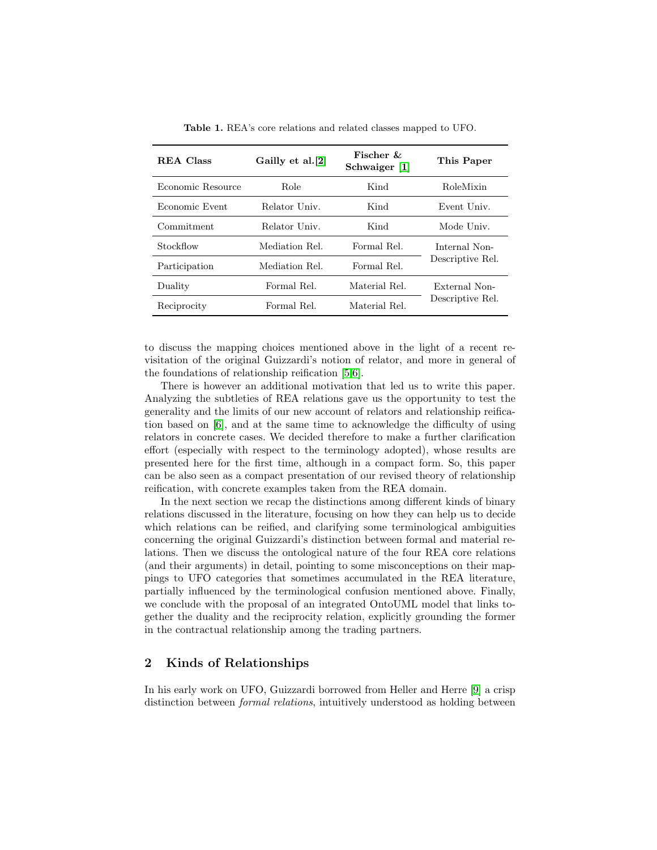| <b>REA</b> Class  | Gailly et al.[2] | Fischer $\&$<br>Schwaiger [1] | This Paper                        |
|-------------------|------------------|-------------------------------|-----------------------------------|
| Economic Resource | Role             | Kind                          | RoleMixin                         |
| Economic Event    | Relator Univ.    | Kind                          | Event Univ.                       |
| Commitment        | Relator Univ.    | Kind                          | Mode Univ.                        |
| Stockflow         | Mediation Rel.   | Formal Rel.                   | Internal Non-<br>Descriptive Rel. |
| Participation     | Mediation Rel.   | Formal Rel.                   |                                   |
| Duality           | Formal Rel.      | Material Rel.                 | External Non-<br>Descriptive Rel. |
| Reciprocity       | Formal Rel.      | Material Rel.                 |                                   |

<span id="page-1-0"></span>Table 1. REA's core relations and related classes mapped to UFO.

to discuss the mapping choices mentioned above in the light of a recent revisitation of the original Guizzardi's notion of relator, and more in general of the foundations of relationship reification [\[5,](#page-8-0)[6\]](#page-8-1).

There is however an additional motivation that led us to write this paper. Analyzing the subtleties of REA relations gave us the opportunity to test the generality and the limits of our new account of relators and relationship reification based on [\[6\]](#page-8-1), and at the same time to acknowledge the difficulty of using relators in concrete cases. We decided therefore to make a further clarification effort (especially with respect to the terminology adopted), whose results are presented here for the first time, although in a compact form. So, this paper can be also seen as a compact presentation of our revised theory of relationship reification, with concrete examples taken from the REA domain.

In the next section we recap the distinctions among different kinds of binary relations discussed in the literature, focusing on how they can help us to decide which relations can be reified, and clarifying some terminological ambiguities concerning the original Guizzardi's distinction between formal and material relations. Then we discuss the ontological nature of the four REA core relations (and their arguments) in detail, pointing to some misconceptions on their mappings to UFO categories that sometimes accumulated in the REA literature, partially influenced by the terminological confusion mentioned above. Finally, we conclude with the proposal of an integrated OntoUML model that links together the duality and the reciprocity relation, explicitly grounding the former in the contractual relationship among the trading partners.

# 2 Kinds of Relationships

In his early work on UFO, Guizzardi borrowed from Heller and Herre [\[9\]](#page-8-2) a crisp distinction between *formal relations*, intuitively understood as holding between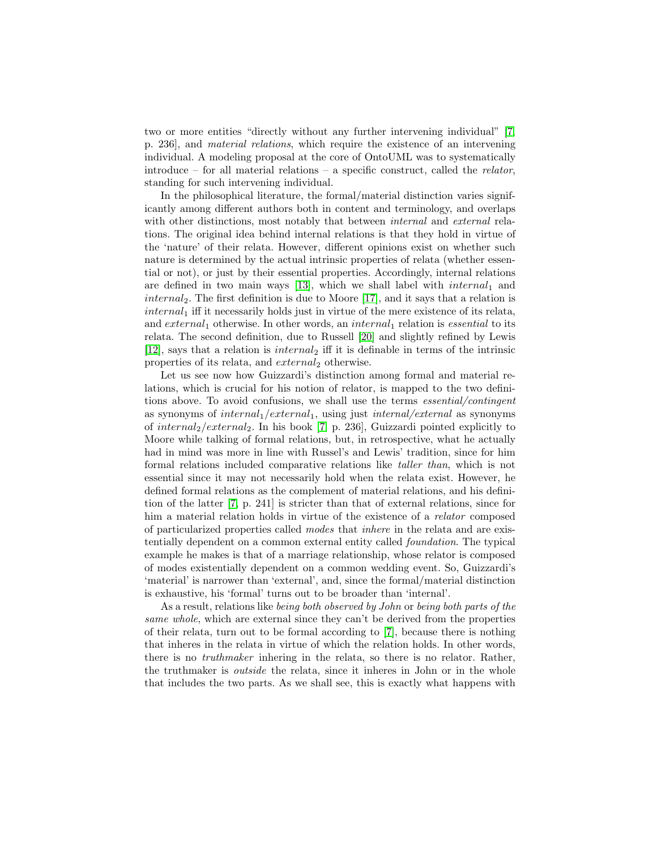two or more entities "directly without any further intervening individual" [\[7,](#page-8-3) p. 236], and material relations, which require the existence of an intervening individual. A modeling proposal at the core of OntoUML was to systematically introduce – for all material relations – a specific construct, called the *relator*, standing for such intervening individual.

In the philosophical literature, the formal/material distinction varies significantly among different authors both in content and terminology, and overlaps with other distinctions, most notably that between *internal* and *external* relations. The original idea behind internal relations is that they hold in virtue of the 'nature' of their relata. However, different opinions exist on whether such nature is determined by the actual intrinsic properties of relata (whether essential or not), or just by their essential properties. Accordingly, internal relations are defined in two main ways [\[13\]](#page-8-4), which we shall label with  $internal_1$  and  $internal_2$ . The first definition is due to Moore [\[17\]](#page-8-5), and it says that a relation is  $internal<sub>1</sub>$  iff it necessarily holds just in virtue of the mere existence of its relata, and  $external_1$  otherwise. In other words, an internal<sub>1</sub> relation is essential to its relata. The second definition, due to Russell [\[20\]](#page-8-6) and slightly refined by Lewis [\[12\]](#page-8-7), says that a relation is  $internal_2$  iff it is definable in terms of the intrinsic properties of its relata, and  $external_2$  otherwise.

Let us see now how Guizzardi's distinction among formal and material relations, which is crucial for his notion of relator, is mapped to the two definitions above. To avoid confusions, we shall use the terms essential/contingent as synonyms of  $internal_1/external_1$ , using just  $internal/external$  as synonyms of internal<sub>2</sub>/external<sub>2</sub>. In his book [\[7,](#page-8-3) p. 236], Guizzardi pointed explicitly to Moore while talking of formal relations, but, in retrospective, what he actually had in mind was more in line with Russel's and Lewis' tradition, since for him formal relations included comparative relations like taller than, which is not essential since it may not necessarily hold when the relata exist. However, he defined formal relations as the complement of material relations, and his definition of the latter [\[7,](#page-8-3) p. 241] is stricter than that of external relations, since for him a material relation holds in virtue of the existence of a relator composed of particularized properties called modes that inhere in the relata and are existentially dependent on a common external entity called foundation. The typical example he makes is that of a marriage relationship, whose relator is composed of modes existentially dependent on a common wedding event. So, Guizzardi's 'material' is narrower than 'external', and, since the formal/material distinction is exhaustive, his 'formal' turns out to be broader than 'internal'.

As a result, relations like being both observed by John or being both parts of the same whole, which are external since they can't be derived from the properties of their relata, turn out to be formal according to [\[7\]](#page-8-3), because there is nothing that inheres in the relata in virtue of which the relation holds. In other words, there is no truthmaker inhering in the relata, so there is no relator. Rather, the truthmaker is outside the relata, since it inheres in John or in the whole that includes the two parts. As we shall see, this is exactly what happens with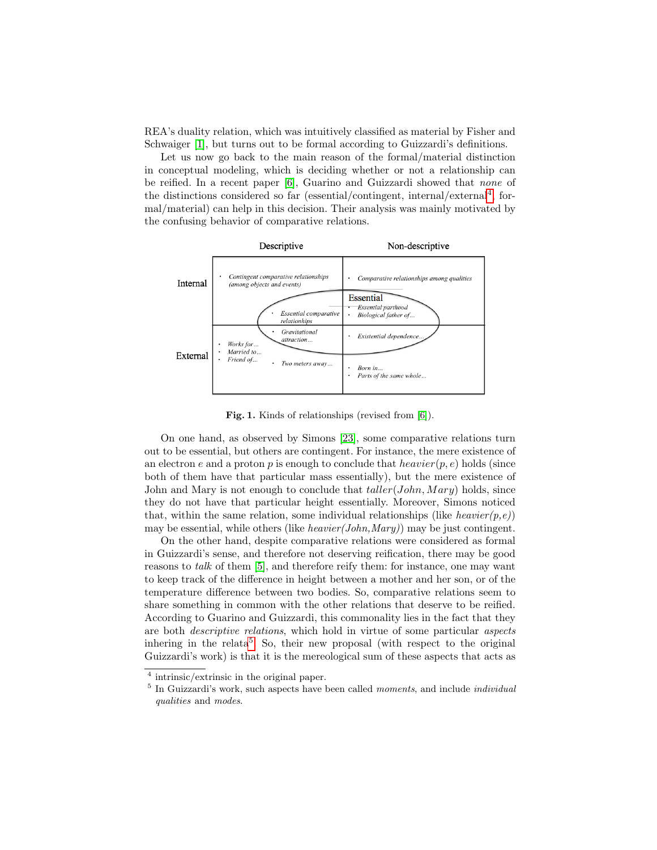REA's duality relation, which was intuitively classified as material by Fisher and Schwaiger [\[1\]](#page-7-1), but turns out to be formal according to Guizzardi's definitions.

Let us now go back to the main reason of the formal/material distinction in conceptual modeling, which is deciding whether or not a relationship can be reified. In a recent paper [\[6\]](#page-8-1), Guarino and Guizzardi showed that none of the distinctions considered so far (essential/contingent, internal/external<sup>[4](#page-3-0)</sup>, formal/material) can help in this decision. Their analysis was mainly motivated by the confusing behavior of comparative relations.



<span id="page-3-2"></span>Fig. 1. Kinds of relationships (revised from [\[6\]](#page-8-1)).

On one hand, as observed by Simons [\[23\]](#page-8-8), some comparative relations turn out to be essential, but others are contingent. For instance, the mere existence of an electron e and a proton p is enough to conclude that  $heavier(p, e)$  holds (since both of them have that particular mass essentially), but the mere existence of John and Mary is not enough to conclude that  $taller(John, Mary)$  holds, since they do not have that particular height essentially. Moreover, Simons noticed that, within the same relation, some individual relationships (like *heavier(p,e)*) may be essential, while others (like *heavier(John,Mary)*) may be just contingent.

On the other hand, despite comparative relations were considered as formal in Guizzardi's sense, and therefore not deserving reification, there may be good reasons to talk of them [\[5\]](#page-8-0), and therefore reify them: for instance, one may want to keep track of the difference in height between a mother and her son, or of the temperature difference between two bodies. So, comparative relations seem to share something in common with the other relations that deserve to be reified. According to Guarino and Guizzardi, this commonality lies in the fact that they are both descriptive relations, which hold in virtue of some particular aspects inhering in the relata<sup>[5](#page-3-1)</sup>. So, their new proposal (with respect to the original Guizzardi's work) is that it is the mereological sum of these aspects that acts as

<span id="page-3-0"></span><sup>&</sup>lt;sup>4</sup> intrinsic/extrinsic in the original paper.

<span id="page-3-1"></span><sup>&</sup>lt;sup>5</sup> In Guizzardi's work, such aspects have been called *moments*, and include *individual* qualities and modes.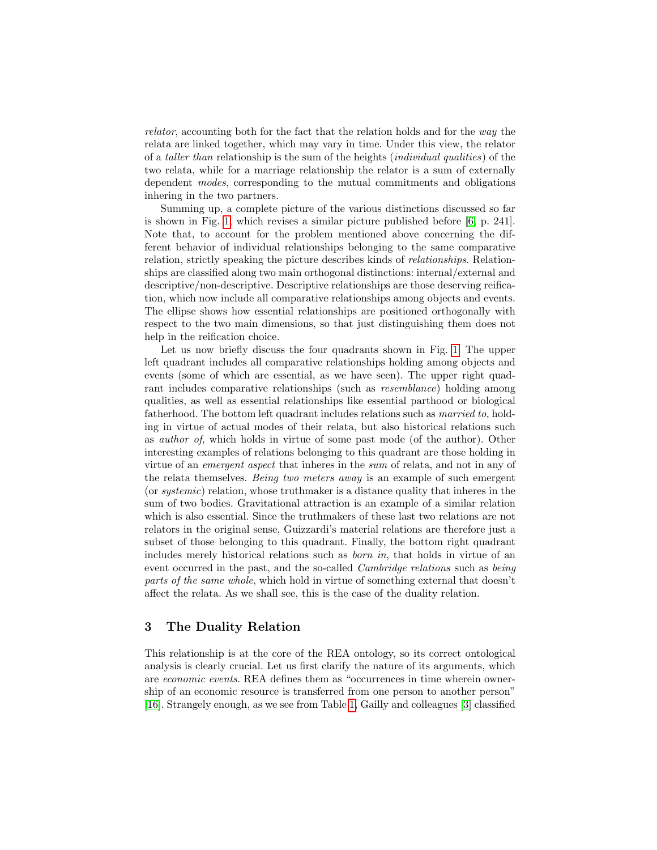relator, accounting both for the fact that the relation holds and for the way the relata are linked together, which may vary in time. Under this view, the relator of a taller than relationship is the sum of the heights (individual qualities) of the two relata, while for a marriage relationship the relator is a sum of externally dependent modes, corresponding to the mutual commitments and obligations inhering in the two partners.

Summing up, a complete picture of the various distinctions discussed so far is shown in Fig. [1,](#page-3-2) which revises a similar picture published before [\[6,](#page-8-1) p. 241]. Note that, to account for the problem mentioned above concerning the different behavior of individual relationships belonging to the same comparative relation, strictly speaking the picture describes kinds of relationships. Relationships are classified along two main orthogonal distinctions: internal/external and descriptive/non-descriptive. Descriptive relationships are those deserving reification, which now include all comparative relationships among objects and events. The ellipse shows how essential relationships are positioned orthogonally with respect to the two main dimensions, so that just distinguishing them does not help in the reification choice.

Let us now briefly discuss the four quadrants shown in Fig. [1.](#page-3-2) The upper left quadrant includes all comparative relationships holding among objects and events (some of which are essential, as we have seen). The upper right quadrant includes comparative relationships (such as resemblance) holding among qualities, as well as essential relationships like essential parthood or biological fatherhood. The bottom left quadrant includes relations such as married to, holding in virtue of actual modes of their relata, but also historical relations such as author of, which holds in virtue of some past mode (of the author). Other interesting examples of relations belonging to this quadrant are those holding in virtue of an emergent aspect that inheres in the sum of relata, and not in any of the relata themselves. Being two meters away is an example of such emergent (or systemic) relation, whose truthmaker is a distance quality that inheres in the sum of two bodies. Gravitational attraction is an example of a similar relation which is also essential. Since the truthmakers of these last two relations are not relators in the original sense, Guizzardi's material relations are therefore just a subset of those belonging to this quadrant. Finally, the bottom right quadrant includes merely historical relations such as born in, that holds in virtue of an event occurred in the past, and the so-called *Cambridge relations* such as *being* parts of the same whole, which hold in virtue of something external that doesn't affect the relata. As we shall see, this is the case of the duality relation.

## <span id="page-4-0"></span>3 The Duality Relation

This relationship is at the core of the REA ontology, so its correct ontological analysis is clearly crucial. Let us first clarify the nature of its arguments, which are economic events. REA defines them as "occurrences in time wherein ownership of an economic resource is transferred from one person to another person" [\[16\]](#page-8-9). Strangely enough, as we see from Table [1,](#page-1-0) Gailly and colleagues [\[3\]](#page-7-2) classified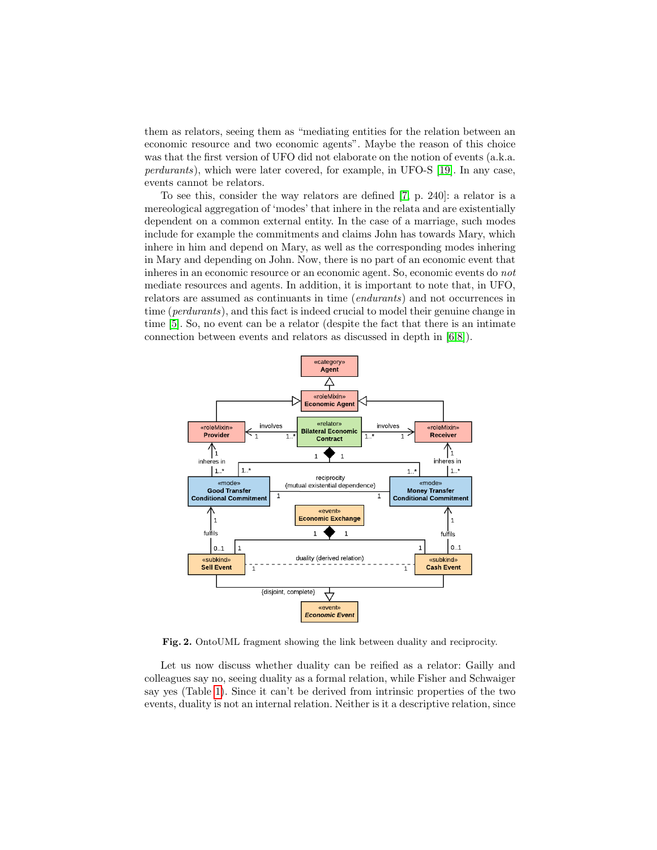them as relators, seeing them as "mediating entities for the relation between an economic resource and two economic agents". Maybe the reason of this choice was that the first version of UFO did not elaborate on the notion of events (a.k.a. perdurants), which were later covered, for example, in UFO-S [\[19\]](#page-8-10). In any case, events cannot be relators.

To see this, consider the way relators are defined [\[7,](#page-8-3) p. 240]: a relator is a mereological aggregation of 'modes' that inhere in the relata and are existentially dependent on a common external entity. In the case of a marriage, such modes include for example the commitments and claims John has towards Mary, which inhere in him and depend on Mary, as well as the corresponding modes inhering in Mary and depending on John. Now, there is no part of an economic event that inheres in an economic resource or an economic agent. So, economic events do not mediate resources and agents. In addition, it is important to note that, in UFO, relators are assumed as continuants in time (endurants) and not occurrences in time (perdurants), and this fact is indeed crucial to model their genuine change in time [\[5\]](#page-8-0). So, no event can be a relator (despite the fact that there is an intimate connection between events and relators as discussed in depth in [\[6,](#page-8-1)[8\]](#page-8-11)).



<span id="page-5-0"></span>Fig. 2. OntoUML fragment showing the link between duality and reciprocity.

Let us now discuss whether duality can be reified as a relator: Gailly and colleagues say no, seeing duality as a formal relation, while Fisher and Schwaiger say yes (Table [1\)](#page-1-0). Since it can't be derived from intrinsic properties of the two events, duality is not an internal relation. Neither is it a descriptive relation, since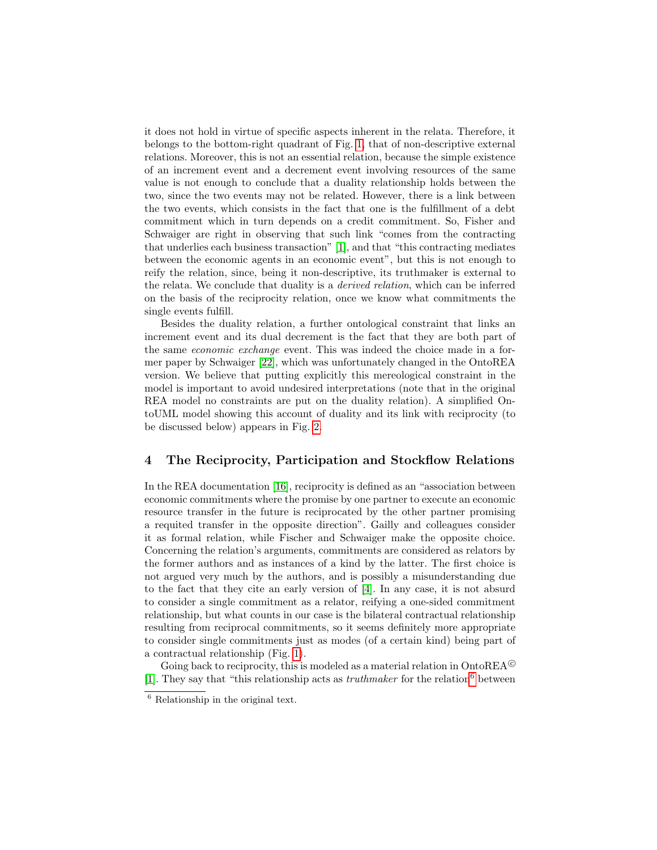it does not hold in virtue of specific aspects inherent in the relata. Therefore, it belongs to the bottom-right quadrant of Fig. [1,](#page-3-2) that of non-descriptive external relations. Moreover, this is not an essential relation, because the simple existence of an increment event and a decrement event involving resources of the same value is not enough to conclude that a duality relationship holds between the two, since the two events may not be related. However, there is a link between the two events, which consists in the fact that one is the fulfillment of a debt commitment which in turn depends on a credit commitment. So, Fisher and Schwaiger are right in observing that such link "comes from the contracting that underlies each business transaction" [\[1\]](#page-7-1), and that "this contracting mediates between the economic agents in an economic event", but this is not enough to reify the relation, since, being it non-descriptive, its truthmaker is external to the relata. We conclude that duality is a derived relation, which can be inferred on the basis of the reciprocity relation, once we know what commitments the single events fulfill.

Besides the duality relation, a further ontological constraint that links an increment event and its dual decrement is the fact that they are both part of the same economic exchange event. This was indeed the choice made in a former paper by Schwaiger [\[22\]](#page-8-12), which was unfortunately changed in the OntoREA version. We believe that putting explicitly this mereological constraint in the model is important to avoid undesired interpretations (note that in the original REA model no constraints are put on the duality relation). A simplified OntoUML model showing this account of duality and its link with reciprocity (to be discussed below) appears in Fig. [2.](#page-5-0)

### 4 The Reciprocity, Participation and Stockflow Relations

In the REA documentation [\[16\]](#page-8-9), reciprocity is defined as an "association between economic commitments where the promise by one partner to execute an economic resource transfer in the future is reciprocated by the other partner promising a requited transfer in the opposite direction". Gailly and colleagues consider it as formal relation, while Fischer and Schwaiger make the opposite choice. Concerning the relation's arguments, commitments are considered as relators by the former authors and as instances of a kind by the latter. The first choice is not argued very much by the authors, and is possibly a misunderstanding due to the fact that they cite an early version of [\[4\]](#page-8-13). In any case, it is not absurd to consider a single commitment as a relator, reifying a one-sided commitment relationship, but what counts in our case is the bilateral contractual relationship resulting from reciprocal commitments, so it seems definitely more appropriate to consider single commitments just as modes (of a certain kind) being part of a contractual relationship (Fig. [1\)](#page-3-2).

Going back to reciprocity, this is modeled as a material relation in  $\text{OntoREA}^{\odot}$ [\[1\]](#page-7-1). They say that "this relationship acts as  $truthmaker$  for the relation<sup>[6](#page-6-0)</sup> between

<span id="page-6-0"></span><sup>6</sup> Relationship in the original text.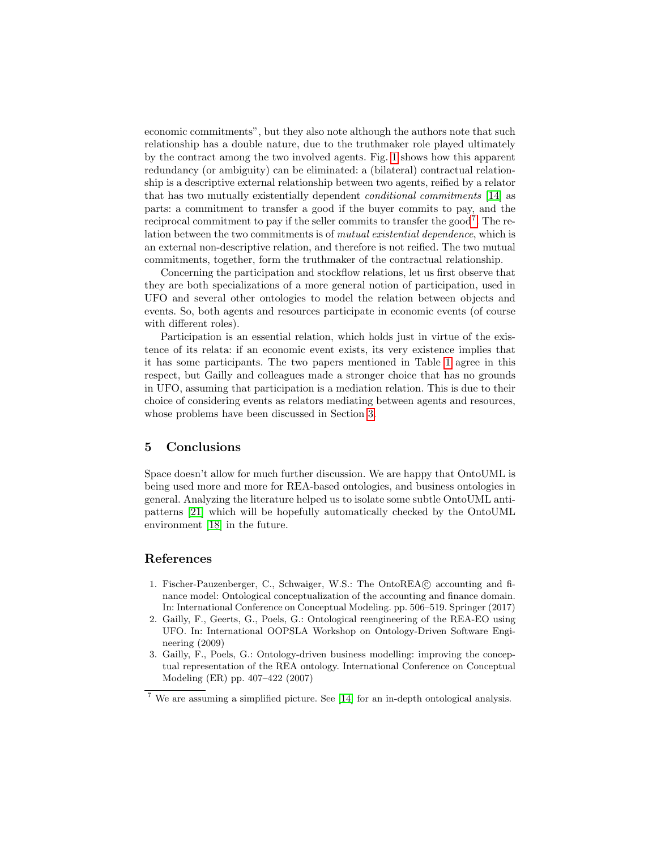economic commitments", but they also note although the authors note that such relationship has a double nature, due to the truthmaker role played ultimately by the contract among the two involved agents. Fig. [1](#page-3-2) shows how this apparent redundancy (or ambiguity) can be eliminated: a (bilateral) contractual relationship is a descriptive external relationship between two agents, reified by a relator that has two mutually existentially dependent conditional commitments [\[14\]](#page-8-14) as parts: a commitment to transfer a good if the buyer commits to pay, and the reciprocal commitment to pay if the seller commits to transfer the good<sup>[7](#page-7-3)</sup>. The relation between the two commitments is of *mutual existential dependence*, which is an external non-descriptive relation, and therefore is not reified. The two mutual commitments, together, form the truthmaker of the contractual relationship.

Concerning the participation and stockflow relations, let us first observe that they are both specializations of a more general notion of participation, used in UFO and several other ontologies to model the relation between objects and events. So, both agents and resources participate in economic events (of course with different roles).

Participation is an essential relation, which holds just in virtue of the existence of its relata: if an economic event exists, its very existence implies that it has some participants. The two papers mentioned in Table [1](#page-1-0) agree in this respect, but Gailly and colleagues made a stronger choice that has no grounds in UFO, assuming that participation is a mediation relation. This is due to their choice of considering events as relators mediating between agents and resources, whose problems have been discussed in Section [3.](#page-4-0)

#### 5 Conclusions

Space doesn't allow for much further discussion. We are happy that OntoUML is being used more and more for REA-based ontologies, and business ontologies in general. Analyzing the literature helped us to isolate some subtle OntoUML antipatterns [\[21\]](#page-8-15) which will be hopefully automatically checked by the OntoUML environment [\[18\]](#page-8-16) in the future.

#### References

- <span id="page-7-1"></span>1. Fischer-Pauzenberger, C., Schwaiger, W.S.: The OntoREA© accounting and finance model: Ontological conceptualization of the accounting and finance domain. In: International Conference on Conceptual Modeling. pp. 506–519. Springer (2017)
- <span id="page-7-0"></span>2. Gailly, F., Geerts, G., Poels, G.: Ontological reengineering of the REA-EO using UFO. In: International OOPSLA Workshop on Ontology-Driven Software Engineering (2009)
- <span id="page-7-2"></span>3. Gailly, F., Poels, G.: Ontology-driven business modelling: improving the conceptual representation of the REA ontology. International Conference on Conceptual Modeling (ER) pp. 407–422 (2007)

<span id="page-7-3"></span> $^7$  We are assuming a simplified picture. See [\[14\]](#page-8-14) for an in-depth ontological analysis.